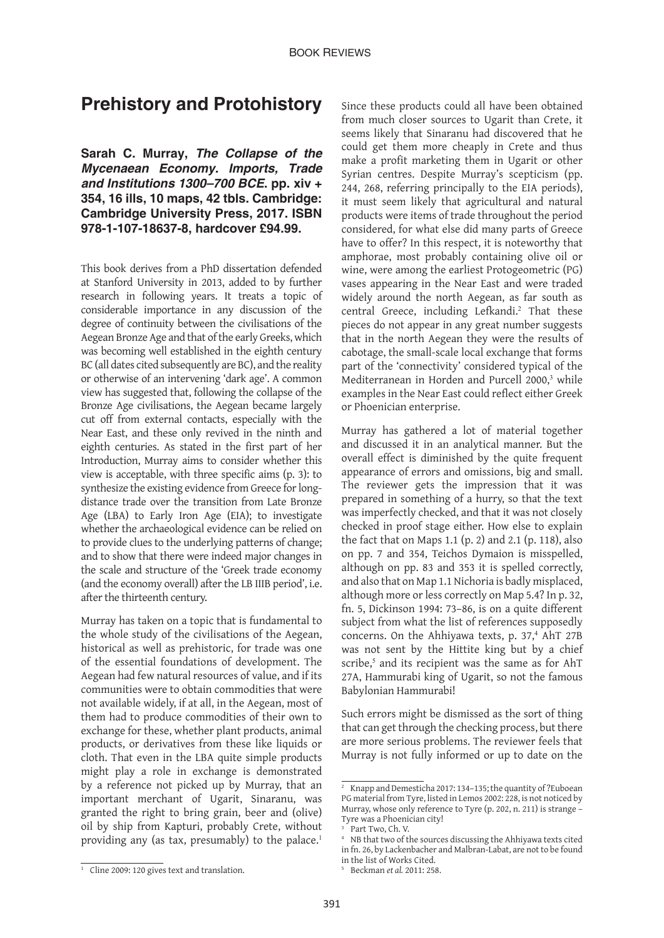## **Prehistory and Protohistory**

**Sarah C. Murray,** *The Collapse of the Mycenaean Economy. Imports, Trade and Institutions 1300–700 BCE***. pp. xiv + 354, 16 ills, 10 maps, 42 tbls. Cambridge: Cambridge University Press, 2017. ISBN 978-1-107-18637-8, hardcover £94.99.**

This book derives from a PhD dissertation defended at Stanford University in 2013, added to by further research in following years. It treats a topic of considerable importance in any discussion of the degree of continuity between the civilisations of the Aegean Bronze Age and that of the early Greeks, which was becoming well established in the eighth century BC (all dates cited subsequently are BC), and the reality or otherwise of an intervening 'dark age'. A common view has suggested that, following the collapse of the Bronze Age civilisations, the Aegean became largely cut off from external contacts, especially with the Near East, and these only revived in the ninth and eighth centuries. As stated in the first part of her Introduction, Murray aims to consider whether this view is acceptable, with three specific aims (p. 3): to synthesize the existing evidence from Greece for longdistance trade over the transition from Late Bronze Age (LBA) to Early Iron Age (EIA); to investigate whether the archaeological evidence can be relied on to provide clues to the underlying patterns of change; and to show that there were indeed major changes in the scale and structure of the 'Greek trade economy (and the economy overall) after the LB IIIB period', i.e. after the thirteenth century.

Murray has taken on a topic that is fundamental to the whole study of the civilisations of the Aegean, historical as well as prehistoric, for trade was one of the essential foundations of development. The Aegean had few natural resources of value, and if its communities were to obtain commodities that were not available widely, if at all, in the Aegean, most of them had to produce commodities of their own to exchange for these, whether plant products, animal products, or derivatives from these like liquids or cloth. That even in the LBA quite simple products might play a role in exchange is demonstrated by a reference not picked up by Murray, that an important merchant of Ugarit, Sinaranu, was granted the right to bring grain, beer and (olive) oil by ship from Kapturi, probably Crete, without providing any (as tax, presumably) to the palace.<sup>1</sup>

Since these products could all have been obtained from much closer sources to Ugarit than Crete, it seems likely that Sinaranu had discovered that he could get them more cheaply in Crete and thus make a profit marketing them in Ugarit or other Syrian centres. Despite Murray's scepticism (pp. 244, 268, referring principally to the EIA periods), it must seem likely that agricultural and natural products were items of trade throughout the period considered, for what else did many parts of Greece have to offer? In this respect, it is noteworthy that amphorae, most probably containing olive oil or wine, were among the earliest Protogeometric (PG) vases appearing in the Near East and were traded widely around the north Aegean, as far south as central Greece, including Lefkandi.<sup>2</sup> That these pieces do not appear in any great number suggests that in the north Aegean they were the results of cabotage, the small-scale local exchange that forms part of the 'connectivity' considered typical of the Mediterranean in Horden and Purcell 2000,<sup>3</sup> while examples in the Near East could reflect either Greek or Phoenician enterprise.

Murray has gathered a lot of material together and discussed it in an analytical manner. But the overall effect is diminished by the quite frequent appearance of errors and omissions, big and small. The reviewer gets the impression that it was prepared in something of a hurry, so that the text was imperfectly checked, and that it was not closely checked in proof stage either. How else to explain the fact that on Maps 1.1 (p. 2) and 2.1 (p. 118), also on pp. 7 and 354, Teichos Dymaion is misspelled, although on pp. 83 and 353 it is spelled correctly, and also that on Map 1.1 Nichoria is badly misplaced, although more or less correctly on Map 5.4? In p. 32, fn. 5, Dickinson 1994: 73–86, is on a quite different subject from what the list of references supposedly concerns. On the Ahhiyawa texts, p. 37,<sup>4</sup> AhT 27B was not sent by the Hittite king but by a chief scribe,<sup>5</sup> and its recipient was the same as for AhT 27A, Hammurabi king of Ugarit, so not the famous Babylonian Hammurabi!

Such errors might be dismissed as the sort of thing that can get through the checking process, but there are more serious problems. The reviewer feels that Murray is not fully informed or up to date on the

<sup>2</sup> Knapp and Demesticha 2017: 134–135; the quantity of ?Euboean PG material from Tyre, listed in Lemos 2002: 228, is not noticed by Murray, whose only reference to Tyre (p. 202, n. 211) is strange – Tyre was a Phoenician city!

Part Two, Ch. V.

NB that two of the sources discussing the Ahhiyawa texts cited in fn. 26, by Lackenbacher and Malbran-Labat, are not to be found in the list of Works Cited.

<sup>5</sup> Beckman *et al.* 2011: 258.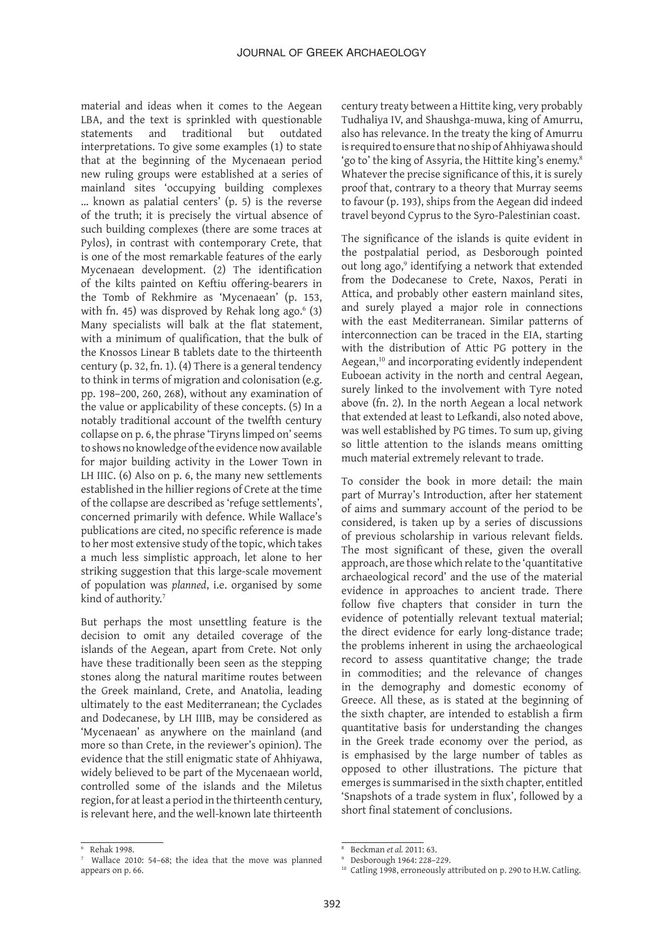material and ideas when it comes to the Aegean LBA, and the text is sprinkled with questionable statements and traditional but outdated interpretations. To give some examples (1) to state that at the beginning of the Mycenaean period new ruling groups were established at a series of mainland sites 'occupying building complexes … known as palatial centers' (p. 5) is the reverse of the truth; it is precisely the virtual absence of such building complexes (there are some traces at Pylos), in contrast with contemporary Crete, that is one of the most remarkable features of the early Mycenaean development. (2) The identification of the kilts painted on Keftiu offering-bearers in the Tomb of Rekhmire as 'Mycenaean' (p. 153, with fn. 45) was disproved by Rehak long ago. $\degree$  (3) Many specialists will balk at the flat statement, with a minimum of qualification, that the bulk of the Knossos Linear B tablets date to the thirteenth century (p. 32, fn. 1). (4) There is a general tendency to think in terms of migration and colonisation (e.g. pp. 198–200, 260, 268), without any examination of the value or applicability of these concepts. (5) In a notably traditional account of the twelfth century collapse on p. 6, the phrase 'Tiryns limped on' seems to shows no knowledge of the evidence now available for major building activity in the Lower Town in LH IIIC. (6) Also on p. 6, the many new settlements established in the hillier regions of Crete at the time of the collapse are described as 'refuge settlements', concerned primarily with defence. While Wallace's publications are cited, no specific reference is made to her most extensive study of the topic, which takes a much less simplistic approach, let alone to her striking suggestion that this large-scale movement of population was *planned*, i.e. organised by some kind of authority.<sup>7</sup>

But perhaps the most unsettling feature is the decision to omit any detailed coverage of the islands of the Aegean, apart from Crete. Not only have these traditionally been seen as the stepping stones along the natural maritime routes between the Greek mainland, Crete, and Anatolia, leading ultimately to the east Mediterranean; the Cyclades and Dodecanese, by LH IIIB, may be considered as 'Mycenaean' as anywhere on the mainland (and more so than Crete, in the reviewer's opinion). The evidence that the still enigmatic state of Ahhiyawa, widely believed to be part of the Mycenaean world, controlled some of the islands and the Miletus region, for at least a period in the thirteenth century, is relevant here, and the well-known late thirteenth century treaty between a Hittite king, very probably Tudhaliya IV, and Shaushga-muwa, king of Amurru, also has relevance. In the treaty the king of Amurru is required to ensure that no ship of Ahhiyawa should 'go to' the king of Assyria, the Hittite king's enemy.<sup>8</sup> Whatever the precise significance of this, it is surely proof that, contrary to a theory that Murray seems to favour (p. 193), ships from the Aegean did indeed travel beyond Cyprus to the Syro-Palestinian coast.

The significance of the islands is quite evident in the postpalatial period, as Desborough pointed out long ago,<sup>9</sup> identifying a network that extended from the Dodecanese to Crete, Naxos, Perati in Attica, and probably other eastern mainland sites, and surely played a major role in connections with the east Mediterranean. Similar patterns of interconnection can be traced in the EIA, starting with the distribution of Attic PG pottery in the Aegean,<sup>10</sup> and incorporating evidently independent Euboean activity in the north and central Aegean, surely linked to the involvement with Tyre noted above (fn. 2). In the north Aegean a local network that extended at least to Lefkandi, also noted above, was well established by PG times. To sum up, giving so little attention to the islands means omitting much material extremely relevant to trade.

To consider the book in more detail: the main part of Murray's Introduction, after her statement of aims and summary account of the period to be considered, is taken up by a series of discussions of previous scholarship in various relevant fields. The most significant of these, given the overall approach, are those which relate to the 'quantitative archaeological record' and the use of the material evidence in approaches to ancient trade. There follow five chapters that consider in turn the evidence of potentially relevant textual material; the direct evidence for early long-distance trade; the problems inherent in using the archaeological record to assess quantitative change; the trade in commodities; and the relevance of changes in the demography and domestic economy of Greece. All these, as is stated at the beginning of the sixth chapter, are intended to establish a firm quantitative basis for understanding the changes in the Greek trade economy over the period, as is emphasised by the large number of tables as opposed to other illustrations. The picture that emerges is summarised in the sixth chapter, entitled 'Snapshots of a trade system in flux', followed by a short final statement of conclusions.

<sup>6</sup> Rehak 1998.

<sup>7</sup> Wallace 2010: 54–68; the idea that the move was planned appears on p. 66.

<sup>8</sup> Beckman *et al.* 2011: 63.

<sup>9</sup> Desborough 1964: 228–229.

<sup>&</sup>lt;sup>10</sup> Catling 1998, erroneously attributed on p. 290 to H.W. Catling.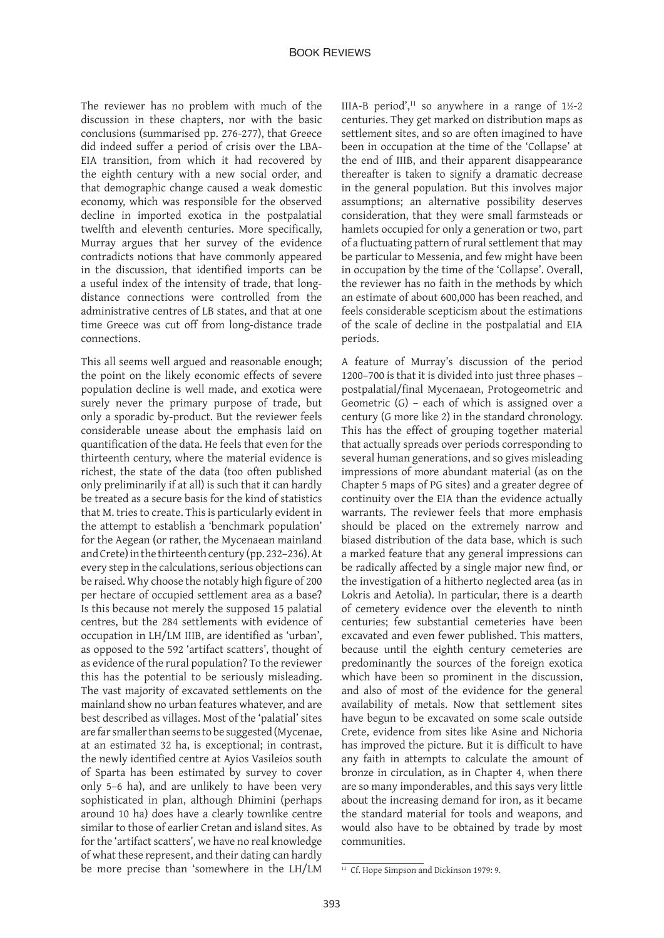The reviewer has no problem with much of the discussion in these chapters, nor with the basic conclusions (summarised pp. 276-277), that Greece did indeed suffer a period of crisis over the LBA-EIA transition, from which it had recovered by the eighth century with a new social order, and that demographic change caused a weak domestic economy, which was responsible for the observed decline in imported exotica in the postpalatial twelfth and eleventh centuries. More specifically, Murray argues that her survey of the evidence contradicts notions that have commonly appeared in the discussion, that identified imports can be a useful index of the intensity of trade, that longdistance connections were controlled from the administrative centres of LB states, and that at one time Greece was cut off from long-distance trade connections.

This all seems well argued and reasonable enough; the point on the likely economic effects of severe population decline is well made, and exotica were surely never the primary purpose of trade, but only a sporadic by-product. But the reviewer feels considerable unease about the emphasis laid on quantification of the data. He feels that even for the thirteenth century, where the material evidence is richest, the state of the data (too often published only preliminarily if at all) is such that it can hardly be treated as a secure basis for the kind of statistics that M. tries to create. This is particularly evident in the attempt to establish a 'benchmark population' for the Aegean (or rather, the Mycenaean mainland and Crete) in the thirteenth century (pp. 232–236). At every step in the calculations, serious objections can be raised. Why choose the notably high figure of 200 per hectare of occupied settlement area as a base? Is this because not merely the supposed 15 palatial centres, but the 284 settlements with evidence of occupation in LH/LM IIIB, are identified as 'urban', as opposed to the 592 'artifact scatters', thought of as evidence of the rural population? To the reviewer this has the potential to be seriously misleading. The vast majority of excavated settlements on the mainland show no urban features whatever, and are best described as villages. Most of the 'palatial' sites are far smaller than seems to be suggested (Mycenae, at an estimated 32 ha, is exceptional; in contrast, the newly identified centre at Ayios Vasileios south of Sparta has been estimated by survey to cover only 5–6 ha), and are unlikely to have been very sophisticated in plan, although Dhimini (perhaps around 10 ha) does have a clearly townlike centre similar to those of earlier Cretan and island sites. As for the 'artifact scatters', we have no real knowledge of what these represent, and their dating can hardly be more precise than 'somewhere in the LH/LM

IIIA-B period',<sup>11</sup> so anywhere in a range of  $1\frac{1}{2}$ -2 centuries. They get marked on distribution maps as settlement sites, and so are often imagined to have been in occupation at the time of the 'Collapse' at the end of IIIB, and their apparent disappearance thereafter is taken to signify a dramatic decrease in the general population. But this involves major assumptions; an alternative possibility deserves consideration, that they were small farmsteads or hamlets occupied for only a generation or two, part of a fluctuating pattern of rural settlement that may be particular to Messenia, and few might have been in occupation by the time of the 'Collapse'. Overall, the reviewer has no faith in the methods by which an estimate of about 600,000 has been reached, and feels considerable scepticism about the estimations of the scale of decline in the postpalatial and EIA periods.

A feature of Murray's discussion of the period 1200–700 is that it is divided into just three phases – postpalatial/final Mycenaean, Protogeometric and Geometric (G) – each of which is assigned over a century (G more like 2) in the standard chronology. This has the effect of grouping together material that actually spreads over periods corresponding to several human generations, and so gives misleading impressions of more abundant material (as on the Chapter 5 maps of PG sites) and a greater degree of continuity over the EIA than the evidence actually warrants. The reviewer feels that more emphasis should be placed on the extremely narrow and biased distribution of the data base, which is such a marked feature that any general impressions can be radically affected by a single major new find, or the investigation of a hitherto neglected area (as in Lokris and Aetolia). In particular, there is a dearth of cemetery evidence over the eleventh to ninth centuries; few substantial cemeteries have been excavated and even fewer published. This matters, because until the eighth century cemeteries are predominantly the sources of the foreign exotica which have been so prominent in the discussion, and also of most of the evidence for the general availability of metals. Now that settlement sites have begun to be excavated on some scale outside Crete, evidence from sites like Asine and Nichoria has improved the picture. But it is difficult to have any faith in attempts to calculate the amount of bronze in circulation, as in Chapter 4, when there are so many imponderables, and this says very little about the increasing demand for iron, as it became the standard material for tools and weapons, and would also have to be obtained by trade by most communities.

<sup>&</sup>lt;sup>11</sup> Cf. Hope Simpson and Dickinson 1979: 9.